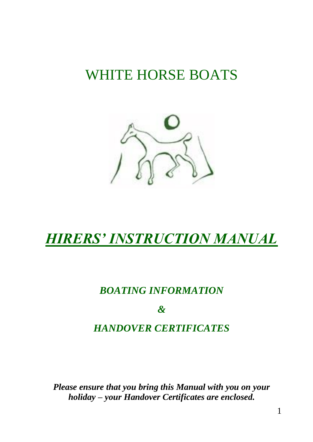# WHITE HORSE BOATS



# *HIRERS' INSTRUCTION MANUAL*

## *BOATING INFORMATION*

*&*

## *HANDOVER CERTIFICATES*

*Please ensure that you bring this Manual with you on your holiday – your Handover Certificates are enclosed.*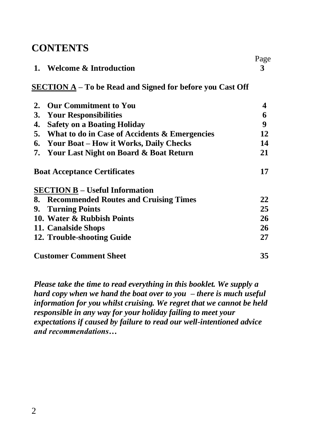## **CONTENTS**

|    |                                                                  | Page |
|----|------------------------------------------------------------------|------|
| 1. | <b>Welcome &amp; Introduction</b>                                | 3    |
|    | <b>SECTION A</b> – To be Read and Signed for before you Cast Off |      |
| 2. | <b>Our Commitment to You</b>                                     | 4    |
| 3. | <b>Your Responsibilities</b>                                     | 6    |
| 4. | <b>Safety on a Boating Holiday</b>                               | 9    |
|    | 5. What to do in Case of Accidents & Emergencies                 | 12   |
|    | 6. Your Boat – How it Works, Daily Checks                        | 14   |
|    | 7. Your Last Night on Board & Boat Return                        | 21   |
|    | <b>Boat Acceptance Certificates</b>                              | 17   |
|    | <b>SECTION B</b> – Useful Information                            |      |
|    | 8. Recommended Routes and Cruising Times                         | 22   |
| 9. | <b>Turning Points</b>                                            | 25   |
|    | 10. Water & Rubbish Points                                       | 26   |
|    | 11. Canalside Shops                                              | 26   |
|    | 12. Trouble-shooting Guide                                       | 27   |
|    | <b>Customer Comment Sheet</b>                                    | 35   |

*Please take the time to read everything in this booklet. We supply a hard copy when we hand the boat over to you – there is much useful information for you whilst cruising. We regret that we cannot be held responsible in any way for your holiday failing to meet your expectations if caused by failure to read our well-intentioned advice and recommendations…*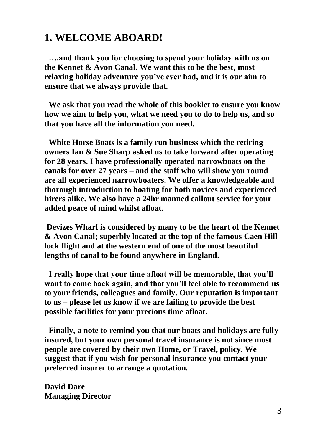## **1. WELCOME ABOARD!**

 **….and thank you for choosing to spend your holiday with us on the Kennet & Avon Canal. We want this to be the best, most relaxing holiday adventure you've ever had, and it is our aim to ensure that we always provide that.**

 **We ask that you read the whole of this booklet to ensure you know how we aim to help you, what we need you to do to help us, and so that you have all the information you need.**

 **White Horse Boats is a family run business which the retiring owners Ian & Sue Sharp asked us to take forward after operating for 28 years. I have professionally operated narrowboats on the canals for over 27 years – and the staff who will show you round are all experienced narrowboaters. We offer a knowledgeable and thorough introduction to boating for both novices and experienced hirers alike. We also have a 24hr manned callout service for your added peace of mind whilst afloat.**

**Devizes Wharf is considered by many to be the heart of the Kennet & Avon Canal; superbly located at the top of the famous Caen Hill lock flight and at the western end of one of the most beautiful lengths of canal to be found anywhere in England.**

 **I really hope that your time afloat will be memorable, that you'll want to come back again, and that you'll feel able to recommend us to your friends, colleagues and family. Our reputation is important to us – please let us know if we are failing to provide the best possible facilities for your precious time afloat.**

 **Finally, a note to remind you that our boats and holidays are fully insured, but your own personal travel insurance is not since most people are covered by their own Home, or Travel, policy. We suggest that if you wish for personal insurance you contact your preferred insurer to arrange a quotation.**

**David Dare Managing Director**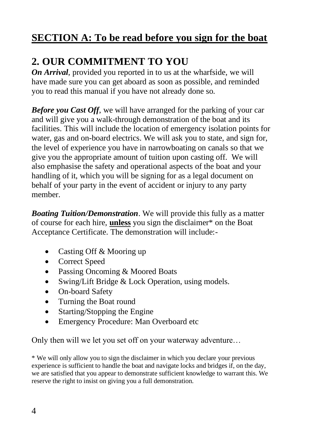# **SECTION A: To be read before you sign for the boat**

# **2. OUR COMMITMENT TO YOU**

*On Arrival*, provided you reported in to us at the wharfside, we will have made sure you can get aboard as soon as possible, and reminded you to read this manual if you have not already done so.

*Before you Cast Off*, we will have arranged for the parking of your car and will give you a walk-through demonstration of the boat and its facilities. This will include the location of emergency isolation points for water, gas and on-board electrics. We will ask you to state, and sign for, the level of experience you have in narrowboating on canals so that we give you the appropriate amount of tuition upon casting off. We will also emphasise the safety and operational aspects of the boat and your handling of it, which you will be signing for as a legal document on behalf of your party in the event of accident or injury to any party member.

*Boating Tuition/Demonstration*. We will provide this fully as a matter of course for each hire, **unless** you sign the disclaimer\* on the Boat Acceptance Certificate. The demonstration will include:-

- Casting Off & Mooring up
- Correct Speed
- Passing Oncoming & Moored Boats
- Swing/Lift Bridge & Lock Operation, using models.
- On-board Safety
- Turning the Boat round
- Starting/Stopping the Engine
- Emergency Procedure: Man Overboard etc

Only then will we let you set off on your waterway adventure…

\* We will only allow you to sign the disclaimer in which you declare your previous experience is sufficient to handle the boat and navigate locks and bridges if, on the day, we are satisfied that you appear to demonstrate sufficient knowledge to warrant this. We reserve the right to insist on giving you a full demonstration.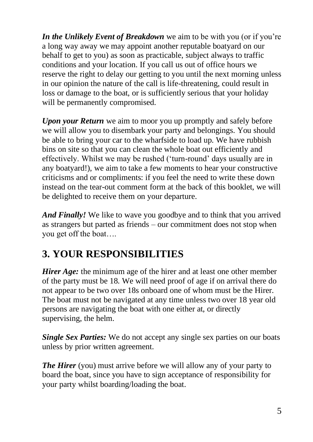*In the Unlikely Event of Breakdown* we aim to be with you (or if you're a long way away we may appoint another reputable boatyard on our behalf to get to you) as soon as practicable, subject always to traffic conditions and your location. If you call us out of office hours we reserve the right to delay our getting to you until the next morning unless in our opinion the nature of the call is life-threatening, could result in loss or damage to the boat, or is sufficiently serious that your holiday will be permanently compromised.

*Upon your Return* we aim to moor you up promptly and safely before we will allow you to disembark your party and belongings. You should be able to bring your car to the wharfside to load up. We have rubbish bins on site so that you can clean the whole boat out efficiently and effectively. Whilst we may be rushed ('turn-round' days usually are in any boatyard!), we aim to take a few moments to hear your constructive criticisms and or compliments: if you feel the need to write these down instead on the tear-out comment form at the back of this booklet, we will be delighted to receive them on your departure.

*And Finally!* We like to wave you goodbye and to think that you arrived as strangers but parted as friends – our commitment does not stop when you get off the boat….

# **3. YOUR RESPONSIBILITIES**

*Hirer Age:* the minimum age of the hirer and at least one other member of the party must be 18. We will need proof of age if on arrival there do not appear to be two over 18s onboard one of whom must be the Hirer. The boat must not be navigated at any time unless two over 18 year old persons are navigating the boat with one either at, or directly supervising, the helm.

*Single Sex Parties:* We do not accept any single sex parties on our boats unless by prior written agreement.

*The Hirer* (you) must arrive before we will allow any of your party to board the boat, since you have to sign acceptance of responsibility for your party whilst boarding/loading the boat.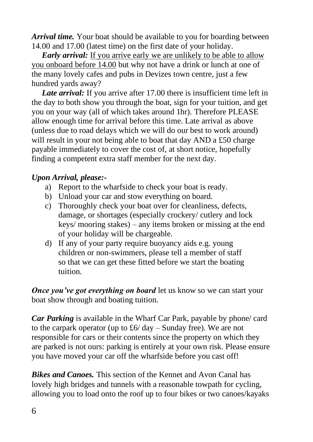*Arrival time.* Your boat should be available to you for boarding between 14.00 and 17.00 (latest time) on the first date of your holiday.

*Early arrival:* If you arrive early we are unlikely to be able to allow you onboard before 14.00 but why not have a drink or lunch at one of the many lovely cafes and pubs in Devizes town centre, just a few hundred yards away?

Late arrival: If you arrive after 17.00 there is insufficient time left in the day to both show you through the boat, sign for your tuition, and get you on your way (all of which takes around 1hr). Therefore PLEASE allow enough time for arrival before this time. Late arrival as above (unless due to road delays which we will do our best to work around) will result in your not being able to boat that day AND a £50 charge payable immediately to cover the cost of, at short notice, hopefully finding a competent extra staff member for the next day.

#### *Upon Arrival, please:-*

- a) Report to the wharfside to check your boat is ready.
- b) Unload your car and stow everything on board.
- c) Thoroughly check your boat over for cleanliness, defects, damage, or shortages (especially crockery/ cutlery and lock keys/ mooring stakes) – any items broken or missing at the end of your holiday will be chargeable.
- d) If any of your party require buoyancy aids e.g. young children or non-swimmers, please tell a member of staff so that we can get these fitted before we start the boating tuition.

*Once you've got everything on board* let us know so we can start your boat show through and boating tuition.

*Car Parking* is available in the Wharf Car Park, payable by phone/ card to the carpark operator (up to  $\pounds 6$  day – Sunday free). We are not responsible for cars or their contents since the property on which they are parked is not ours: parking is entirely at your own risk. Please ensure you have moved your car off the wharfside before you cast off!

*Bikes and Canoes.* This section of the Kennet and Avon Canal has lovely high bridges and tunnels with a reasonable towpath for cycling, allowing you to load onto the roof up to four bikes or two canoes/kayaks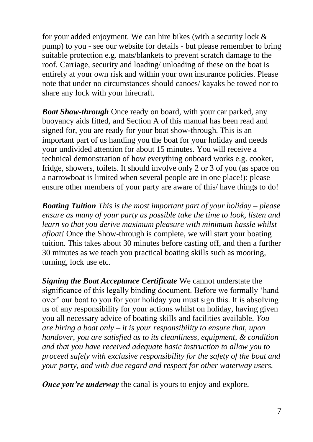for your added enjoyment. We can hire bikes (with a security lock & pump) to you - see our website for details - but please remember to bring suitable protection e.g. mats/blankets to prevent scratch damage to the roof. Carriage, security and loading/ unloading of these on the boat is entirely at your own risk and within your own insurance policies. Please note that under no circumstances should canoes/ kayaks be towed nor to share any lock with your hirecraft.

*Boat Show-through* Once ready on board, with your car parked, any buoyancy aids fitted, and Section A of this manual has been read and signed for, you are ready for your boat show-through. This is an important part of us handing you the boat for your holiday and needs your undivided attention for about 15 minutes. You will receive a technical demonstration of how everything onboard works e.g. cooker, fridge, showers, toilets. It should involve only 2 or 3 of you (as space on a narrowboat is limited when several people are in one place!): please ensure other members of your party are aware of this/ have things to do!

*Boating Tuition This is the most important part of your holiday – please ensure as many of your party as possible take the time to look, listen and learn so that you derive maximum pleasure with minimum hassle whilst afloat!* Once the Show-through is complete, we will start your boating tuition. This takes about 30 minutes before casting off, and then a further 30 minutes as we teach you practical boating skills such as mooring, turning, lock use etc.

*Signing the Boat Acceptance Certificate* We cannot understate the significance of this legally binding document. Before we formally 'hand over' our boat to you for your holiday you must sign this. It is absolving us of any responsibility for your actions whilst on holiday, having given you all necessary advice of boating skills and facilities available. *You are hiring a boat only – it is your responsibility to ensure that, upon handover, you are satisfied as to its cleanliness, equipment, & condition and that you have received adequate basic instruction to allow you to proceed safely with exclusive responsibility for the safety of the boat and your party, and with due regard and respect for other waterway users.*

*Once you're underway* the canal is yours to enjoy and explore.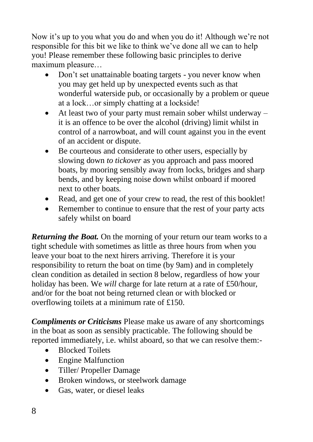Now it's up to you what you do and when you do it! Although we're not responsible for this bit we like to think we've done all we can to help you! Please remember these following basic principles to derive maximum pleasure…

- Don't set unattainable boating targets you never know when you may get held up by unexpected events such as that wonderful waterside pub, or occasionally by a problem or queue at a lock…or simply chatting at a lockside!
- At least two of your party must remain sober whilst underway it is an offence to be over the alcohol (driving) limit whilst in control of a narrowboat, and will count against you in the event of an accident or dispute.
- Be courteous and considerate to other users, especially by slowing down *to tickover* as you approach and pass moored boats, by mooring sensibly away from locks, bridges and sharp bends, and by keeping noise down whilst onboard if moored next to other boats.
- Read, and get one of your crew to read, the rest of this booklet!
- Remember to continue to ensure that the rest of your party acts safely whilst on board

*Returning the Boat.* On the morning of your return our team works to a tight schedule with sometimes as little as three hours from when you leave your boat to the next hirers arriving. Therefore it is your responsibility to return the boat on time (by 9am) and in completely clean condition as detailed in section 8 below, regardless of how your holiday has been. We *will* charge for late return at a rate of £50/hour, and/or for the boat not being returned clean or with blocked or overflowing toilets at a minimum rate of £150.

*Compliments or Criticisms* Please make us aware of any shortcomings in the boat as soon as sensibly practicable. The following should be reported immediately, i.e. whilst aboard, so that we can resolve them:-

- Blocked Toilets
- Engine Malfunction
- Tiller/ Propeller Damage
- Broken windows, or steelwork damage
- Gas, water, or diesel leaks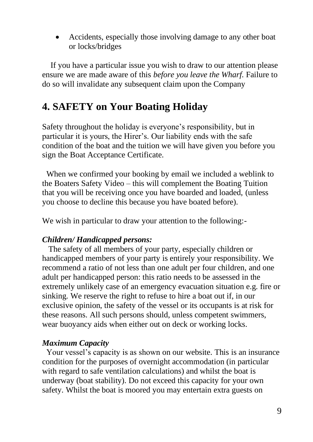• Accidents, especially those involving damage to any other boat or locks/bridges

 If you have a particular issue you wish to draw to our attention please ensure we are made aware of this *before you leave the Wharf.* Failure to do so will invalidate any subsequent claim upon the Company

## **4. SAFETY on Your Boating Holiday**

Safety throughout the holiday is everyone's responsibility, but in particular it is yours, the Hirer's. Our liability ends with the safe condition of the boat and the tuition we will have given you before you sign the Boat Acceptance Certificate.

 When we confirmed your booking by email we included a weblink to the Boaters Safety Video – this will complement the Boating Tuition that you will be receiving once you have boarded and loaded, (unless you choose to decline this because you have boated before).

We wish in particular to draw your attention to the following:-

#### *Children/ Handicapped persons:*

The safety of all members of your party, especially children or handicapped members of your party is entirely your responsibility. We recommend a ratio of not less than one adult per four children, and one adult per handicapped person: this ratio needs to be assessed in the extremely unlikely case of an emergency evacuation situation e.g. fire or sinking. We reserve the right to refuse to hire a boat out if, in our exclusive opinion, the safety of the vessel or its occupants is at risk for these reasons. All such persons should, unless competent swimmers, wear buoyancy aids when either out on deck or working locks.

#### *Maximum Capacity*

Your vessel's capacity is as shown on our website. This is an insurance condition for the purposes of overnight accommodation (in particular with regard to safe ventilation calculations) and whilst the boat is underway (boat stability). Do not exceed this capacity for your own safety. Whilst the boat is moored you may entertain extra guests on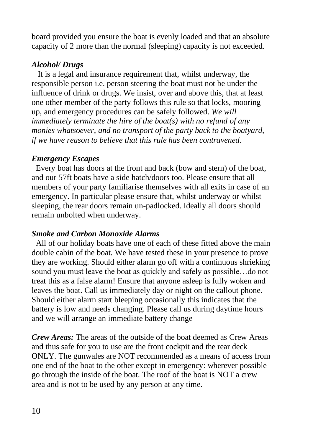board provided you ensure the boat is evenly loaded and that an absolute capacity of 2 more than the normal (sleeping) capacity is not exceeded.

## *Alcohol/ Drugs*

It is a legal and insurance requirement that, whilst underway, the responsible person i.e. person steering the boat must not be under the influence of drink or drugs. We insist, over and above this, that at least one other member of the party follows this rule so that locks, mooring up, and emergency procedures can be safely followed. *We will immediately terminate the hire of the boat(s) with no refund of any monies whatsoever, and no transport of the party back to the boatyard, if we have reason to believe that this rule has been contravened.*

#### *Emergency Escapes*

 Every boat has doors at the front and back (bow and stern) of the boat, and our 57ft boats have a side hatch/doors too. Please ensure that all members of your party familiarise themselves with all exits in case of an emergency. In particular please ensure that, whilst underway or whilst sleeping, the rear doors remain un-padlocked. Ideally all doors should remain unbolted when underway.

#### *Smoke and Carbon Monoxide Alarms*

 All of our holiday boats have one of each of these fitted above the main double cabin of the boat. We have tested these in your presence to prove they are working. Should either alarm go off with a continuous shrieking sound you must leave the boat as quickly and safely as possible…do not treat this as a false alarm! Ensure that anyone asleep is fully woken and leaves the boat. Call us immediately day or night on the callout phone. Should either alarm start bleeping occasionally this indicates that the battery is low and needs changing. Please call us during daytime hours and we will arrange an immediate battery change

*Crew Areas:* The areas of the outside of the boat deemed as Crew Areas and thus safe for you to use are the front cockpit and the rear deck ONLY. The gunwales are NOT recommended as a means of access from one end of the boat to the other except in emergency: wherever possible go through the inside of the boat. The roof of the boat is NOT a crew area and is not to be used by any person at any time.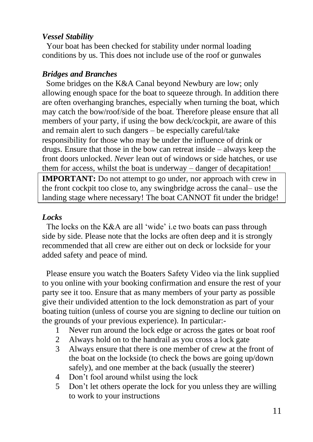#### *Vessel Stability*

 Your boat has been checked for stability under normal loading conditions by us. This does not include use of the roof or gunwales

#### *Bridges and Branches*

 Some bridges on the K&A Canal beyond Newbury are low; only allowing enough space for the boat to squeeze through. In addition there are often overhanging branches, especially when turning the boat, which may catch the bow/roof/side of the boat. Therefore please ensure that all members of your party, if using the bow deck/cockpit, are aware of this and remain alert to such dangers – be especially careful/take responsibility for those who may be under the influence of drink or drugs. Ensure that those in the bow can retreat inside – always keep the front doors unlocked. *Never* lean out of windows or side hatches, or use them for access, whilst the boat is underway – danger of decapitation!

**IMPORTANT:** Do not attempt to go under, nor approach with crew in the front cockpit too close to, any swingbridge across the canal– use the landing stage where necessary! The boat CANNOT fit under the bridge!

#### *Locks*

 The locks on the K&A are all 'wide' i.e two boats can pass through side by side. Please note that the locks are often deep and it is strongly recommended that all crew are either out on deck or lockside for your added safety and peace of mind.

 Please ensure you watch the Boaters Safety Video via the link supplied to you online with your booking confirmation and ensure the rest of your party see it too. Ensure that as many members of your party as possible give their undivided attention to the lock demonstration as part of your boating tuition (unless of course you are signing to decline our tuition on the grounds of your previous experience). In particular:-

- 1 Never run around the lock edge or across the gates or boat roof
- 2 Always hold on to the handrail as you cross a lock gate
- 3 Always ensure that there is one member of crew at the front of the boat on the lockside (to check the bows are going up/down safely), and one member at the back (usually the steerer)
- 4 Don't fool around whilst using the lock
- 5 Don't let others operate the lock for you unless they are willing to work to your instructions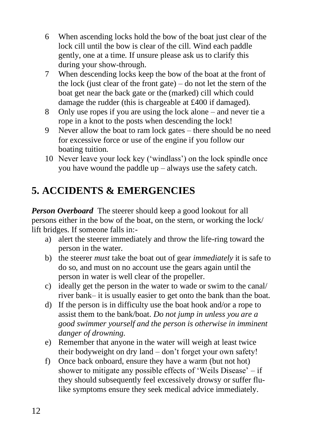- 6 When ascending locks hold the bow of the boat just clear of the lock cill until the bow is clear of the cill. Wind each paddle gently, one at a time. If unsure please ask us to clarify this during your show-through.
- 7 When descending locks keep the bow of the boat at the front of the lock (just clear of the front gate) – do not let the stern of the boat get near the back gate or the (marked) cill which could damage the rudder (this is chargeable at £400 if damaged).
- 8 Only use ropes if you are using the lock alone and never tie a rope in a knot to the posts when descending the lock!
- 9 Never allow the boat to ram lock gates there should be no need for excessive force or use of the engine if you follow our boating tuition.
- 10 Never leave your lock key ('windlass') on the lock spindle once you have wound the paddle up – always use the safety catch.

# **5. ACCIDENTS & EMERGENCIES**

*Person Overboard* The steerer should keep a good lookout for all persons either in the bow of the boat, on the stern, or working the lock/ lift bridges. If someone falls in:-

- a) alert the steerer immediately and throw the life-ring toward the person in the water.
- b) the steerer *must* take the boat out of gear *immediately* it is safe to do so, and must on no account use the gears again until the person in water is well clear of the propeller.
- c) ideally get the person in the water to wade or swim to the canal/ river bank– it is usually easier to get onto the bank than the boat.
- d) If the person is in difficulty use the boat hook and/or a rope to assist them to the bank/boat. *Do not jump in unless you are a good swimmer yourself and the person is otherwise in imminent danger of drowning.*
- e) Remember that anyone in the water will weigh at least twice their bodyweight on dry land – don't forget your own safety!
- f) Once back onboard, ensure they have a warm (but not hot) shower to mitigate any possible effects of 'Weils Disease' – if they should subsequently feel excessively drowsy or suffer flulike symptoms ensure they seek medical advice immediately.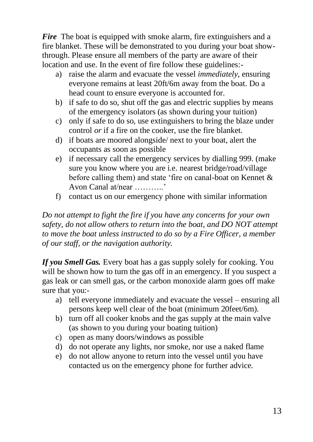*Fire* The boat is equipped with smoke alarm, fire extinguishers and a fire blanket. These will be demonstrated to you during your boat showthrough. Please ensure all members of the party are aware of their location and use. In the event of fire follow these guidelines:-

- a) raise the alarm and evacuate the vessel *immediately,* ensuring everyone remains at least 20ft/6m away from the boat*.* Do a head count to ensure everyone is accounted for.
- b) if safe to do so, shut off the gas and electric supplies by means of the emergency isolators (as shown during your tuition)
- c) only if safe to do so, use extinguishers to bring the blaze under control *or* if a fire on the cooker, use the fire blanket.
- d) if boats are moored alongside/ next to your boat, alert the occupants as soon as possible
- e) if necessary call the emergency services by dialling 999. (make sure you know where you are i.e. nearest bridge/road/village before calling them) and state 'fire on canal-boat on Kennet & Avon Canal at/near ………..'
- f) contact us on our emergency phone with similar information

*Do not attempt to fight the fire if you have any concerns for your own safety, do not allow others to return into the boat, and DO NOT attempt to move the boat unless instructed to do so by a Fire Officer, a member of our staff, or the navigation authority.*

*If you Smell Gas.* Every boat has a gas supply solely for cooking. You will be shown how to turn the gas off in an emergency. If you suspect a gas leak or can smell gas, or the carbon monoxide alarm goes off make sure that you:-

- a) tell everyone immediately and evacuate the vessel ensuring all persons keep well clear of the boat (minimum 20feet/6m).
- b) turn off all cooker knobs and the gas supply at the main valve (as shown to you during your boating tuition)
- c) open as many doors/windows as possible
- d) do not operate any lights, nor smoke, nor use a naked flame
- e) do not allow anyone to return into the vessel until you have contacted us on the emergency phone for further advice.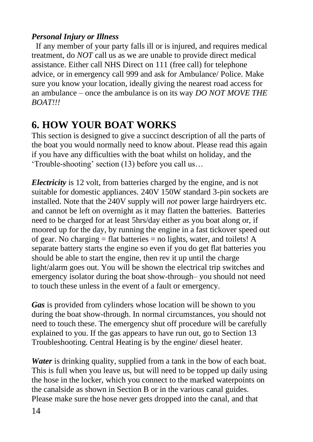## *Personal Injury or Illness*

 If any member of your party falls ill or is injured, and requires medical treatment, do *NOT* call us as we are unable to provide direct medical assistance. Either call NHS Direct on 111 (free call) for telephone advice, or in emergency call 999 and ask for Ambulance/ Police. Make sure you know your location, ideally giving the nearest road access for an ambulance – once the ambulance is on its way *DO NOT MOVE THE BOAT!!!*

# **6. HOW YOUR BOAT WORKS**

This section is designed to give a succinct description of all the parts of the boat you would normally need to know about. Please read this again if you have any difficulties with the boat whilst on holiday, and the 'Trouble-shooting' section (13) before you call us…

*Electricity* is 12 volt, from batteries charged by the engine, and is not suitable for domestic appliances. 240V 150W standard 3-pin sockets are installed. Note that the 240V supply will *not* power large hairdryers etc. and cannot be left on overnight as it may flatten the batteries. Batteries need to be charged for at least 5hrs/day either as you boat along or, if moored up for the day, by running the engine in a fast tickover speed out of gear. No charging  $=$  flat batteries  $=$  no lights, water, and toilets! A separate battery starts the engine so even if you do get flat batteries you should be able to start the engine, then rev it up until the charge light/alarm goes out. You will be shown the electrical trip switches and emergency isolator during the boat show-through– you should not need to touch these unless in the event of a fault or emergency.

*Gas* is provided from cylinders whose location will be shown to you during the boat show-through. In normal circumstances, you should not need to touch these. The emergency shut off procedure will be carefully explained to you. If the gas appears to have run out, go to Section 13 Troubleshooting. Central Heating is by the engine/ diesel heater.

*Water* is drinking quality, supplied from a tank in the bow of each boat. This is full when you leave us, but will need to be topped up daily using the hose in the locker, which you connect to the marked waterpoints on the canalside as shown in Section B or in the various canal guides. Please make sure the hose never gets dropped into the canal, and that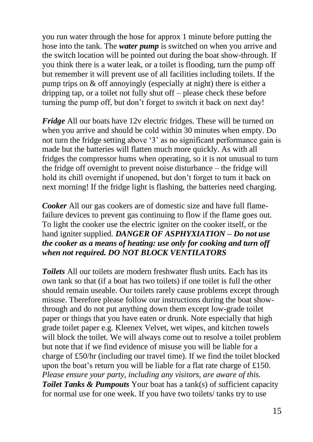you run water through the hose for approx 1 minute before putting the hose into the tank. The *water pump* is switched on when you arrive and the switch location will be pointed out during the boat show-through. If you think there is a water leak, or a toilet is flooding, turn the pump off but remember it will prevent use of all facilities including toilets. If the pump trips on & off annoyingly (especially at night) there is either a dripping tap, or a toilet not fully shut off – please check these before turning the pump off, but don't forget to switch it back on next day!

*Fridge* All our boats have 12y electric fridges. These will be turned on when you arrive and should be cold within 30 minutes when empty. Do not turn the fridge setting above '3' as no significant performance gain is made but the batteries will flatten much more quickly. As with all fridges the compressor hums when operating, so it is not unusual to turn the fridge off overnight to prevent noise disturbance – the fridge will hold its chill overnight if unopened, but don't forget to turn it back on next morning! If the fridge light is flashing, the batteries need charging.

*Cooker* All our gas cookers are of domestic size and have full flamefailure devices to prevent gas continuing to flow if the flame goes out. To light the cooker use the electric igniter on the cooker itself, or the hand igniter supplied. *DANGER OF ASPHYXIATION – Do not use the cooker as a means of heating: use only for cooking and turn off when not required. DO NOT BLOCK VENTILATORS*

*Toilets* All our toilets are modern freshwater flush units. Each has its own tank so that (if a boat has two toilets) if one toilet is full the other should remain useable. Our toilets rarely cause problems except through misuse. Therefore please follow our instructions during the boat showthrough and do not put anything down them except low-grade toilet paper or things that you have eaten or drunk. Note especially that high grade toilet paper e.g. Kleenex Velvet, wet wipes, and kitchen towels will block the toilet. We will always come out to resolve a toilet problem but note that if we find evidence of misuse you will be liable for a charge of £50/hr (including our travel time). If we find the toilet blocked upon the boat's return you will be liable for a flat rate charge of £150. *Please ensure your party, including any visitors, are aware of this. Toilet Tanks & Pumpouts* Your boat has a tank(s) of sufficient capacity for normal use for one week. If you have two toilets/ tanks try to use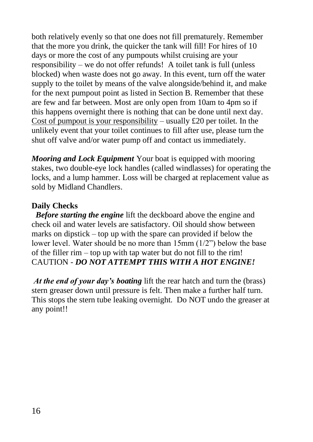both relatively evenly so that one does not fill prematurely. Remember that the more you drink, the quicker the tank will fill! For hires of 10 days or more the cost of any pumpouts whilst cruising are your responsibility – we do not offer refunds! A toilet tank is full (unless blocked) when waste does not go away. In this event, turn off the water supply to the toilet by means of the valve alongside/behind it, and make for the next pumpout point as listed in Section B. Remember that these are few and far between. Most are only open from 10am to 4pm so if this happens overnight there is nothing that can be done until next day. Cost of pumpout is your responsibility – usually  $\text{\pounds}20$  per toilet. In the unlikely event that your toilet continues to fill after use, please turn the shut off valve and/or water pump off and contact us immediately.

*Mooring and Lock Equipment* Your boat is equipped with mooring stakes, two double-eye lock handles (called windlasses) for operating the locks, and a lump hammer. Loss will be charged at replacement value as sold by Midland Chandlers.

## **Daily Checks**

*Before starting the engine* lift the deckboard above the engine and check oil and water levels are satisfactory. Oil should show between marks on dipstick – top up with the spare can provided if below the lower level. Water should be no more than 15mm (1/2") below the base of the filler rim – top up with tap water but do not fill to the rim! CAUTION - *DO NOT ATTEMPT THIS WITH A HOT ENGINE!*

*At the end of your day's boating* lift the rear hatch and turn the (brass) stern greaser down until pressure is felt. Then make a further half turn. This stops the stern tube leaking overnight. Do NOT undo the greaser at any point!!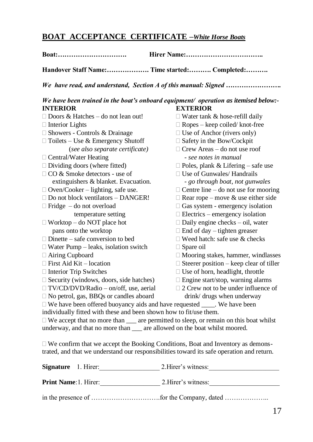## **BOAT ACCEPTANCE CERTIFICATE –***White Horse Boats*

| Boat:                                                                                                                                                                                                                              | Hirer Name:                                    |  |  |
|------------------------------------------------------------------------------------------------------------------------------------------------------------------------------------------------------------------------------------|------------------------------------------------|--|--|
| Handover Staff Name: Time started: Completed:                                                                                                                                                                                      |                                                |  |  |
| We have read, and understand, Section A of this manual: Signed                                                                                                                                                                     |                                                |  |  |
| We have been trained in the boat's onboard equipment/ operation as itemised below:-                                                                                                                                                |                                                |  |  |
| <b>INTERIOR</b>                                                                                                                                                                                                                    | <b>EXTERIOR</b>                                |  |  |
| $\Box$ Doors & Hatches – do not lean out!                                                                                                                                                                                          | $\Box$ Water tank & hose-refill daily          |  |  |
| $\Box$ Interior Lights                                                                                                                                                                                                             | $\Box$ Ropes – keep coiled/knot-free           |  |  |
| $\Box$ Showers - Controls & Drainage                                                                                                                                                                                               | $\Box$ Use of Anchor (rivers only)             |  |  |
| $\Box$ Toilets – Use & Emergency Shutoff                                                                                                                                                                                           | □ Safety in the Bow/Cockpit                    |  |  |
| (see also separate certificate)                                                                                                                                                                                                    | $\Box$ Crew Areas – do not use roof            |  |  |
| □ Central/Water Heating                                                                                                                                                                                                            | - see notes in manual                          |  |  |
| $\Box$ Dividing doors (where fitted)                                                                                                                                                                                               | $\Box$ Poles, plank & Lifering – safe use      |  |  |
| □ CO & Smoke detectors - use of                                                                                                                                                                                                    | $\Box$ Use of Gunwales/ Handrails              |  |  |
| extinguishers & blanket. Evacuation.                                                                                                                                                                                               | - go through boat, not gunwales                |  |  |
| $\Box$ Oven/Cooker – lighting, safe use.                                                                                                                                                                                           | $\Box$ Centre line – do not use for mooring    |  |  |
| $\Box$ Do not block ventilators – DANGER!                                                                                                                                                                                          | $\Box$ Rear rope – move & use either side      |  |  |
| $\Box$ Fridge – do not overload                                                                                                                                                                                                    | $\Box$ Gas system - emergency isolation        |  |  |
| temperature setting                                                                                                                                                                                                                | $\Box$ Electrics – emergency isolation         |  |  |
| $\Box$ Worktop – do NOT place hot                                                                                                                                                                                                  | $\Box$ Daily engine checks $-$ oil, water      |  |  |
| pans onto the worktop                                                                                                                                                                                                              | $\Box$ End of day – tighten greaser            |  |  |
| $\Box$ Dinette – safe conversion to bed                                                                                                                                                                                            | $\Box$ Weed hatch: safe use & checks           |  |  |
| □ Water Pump - leaks, isolation switch                                                                                                                                                                                             | □ Spare oil                                    |  |  |
| $\Box$ Airing Cupboard                                                                                                                                                                                                             | $\Box$ Mooring stakes, hammer, windlasses      |  |  |
| $\Box$ First Aid Kit – location                                                                                                                                                                                                    | $\Box$ Steerer position – keep clear of tiller |  |  |
| □ Interior Trip Switches                                                                                                                                                                                                           | $\Box$ Use of horn, headlight, throttle        |  |  |
| $\Box$ Security (windows, doors, side hatches)                                                                                                                                                                                     | $\Box$ Engine start/stop, warning alarms       |  |  |
| □ TV/CD/DVD/Radio – on/off, use, aerial                                                                                                                                                                                            | $\Box$ 2 Crew not to be under influence of     |  |  |
| $\Box$ No petrol, gas, BBQs or candles aboard<br>drink/ drugs when underway                                                                                                                                                        |                                                |  |  |
| □ We have been offered buoyancy aids and have requested _____. We have been                                                                                                                                                        |                                                |  |  |
| individually fitted with these and been shown how to fit/use them.                                                                                                                                                                 |                                                |  |  |
| $\Box$ We accept that no more than $\Box$ are permitted to sleep, or remain on this boat whilst                                                                                                                                    |                                                |  |  |
| underway, and that no more than __ are allowed on the boat whilst moored.                                                                                                                                                          |                                                |  |  |
| $\Box$ With a submitted and a second distribution $\Box$ distribution $\Box$ . The distribution of the second distribution of the second distribution of the second second second second second second second second second second |                                                |  |  |

 We confirm that we accept the Booking Conditions, Boat and Inventory as demonstrated, and that we understand our responsibilities toward its safe operation and return.

| <b>Signature</b> 1. Hirer:   | 2. Hirer's witness: |
|------------------------------|---------------------|
| <b>Print Name: 1. Hirer:</b> | 2. Hirer's witness: |
|                              |                     |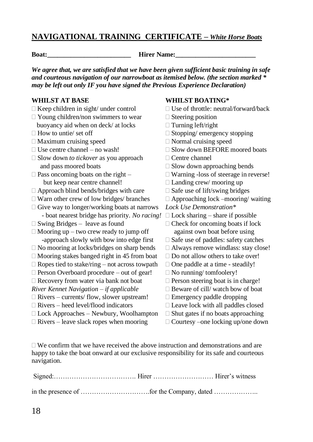#### **NAVIGATIONAL TRAINING CERTIFICATE –** *White Horse Boats*

**Boat: Hirer Name:** 

*We agree that, we are satisfied that we have been given sufficient basic training in safe and courteous navigation of our narrowboat as itemised below. (the section marked \* may be left out only IF you have signed the Previous Experience Declaration)*

- 
- $\Box$  Young children/non swimmers to wear  $\Box$  Steering position buoyancy aid when on deck/ at locks  $\Box$  Turning left/right
- 
- $\Box$  Maximum cruising speed  $\Box$  Normal cruising speed
- 
- $\Box$  Slow down *to tickover* as you approach  $\Box$  Centre channel and pass moored boats  $\square$  Slow down approaching bends
- but keep near centre channel!  $\Box$  Landing crew/ mooring up
- $\Box$  Approach blind bends/bridges with care  $\Box$  Safe use of lift/swing bridges
- $\Box$  Warn other crew of low bridges/ branches  $\Box$  Approaching lock –mooring/ waiting
- Give way to longer/working boats at narrows *Lock Use Demonstration\** - boat nearest bridge has priority. *No racing!*  $\Box$  Lock sharing – share if possible
- $\Box$  Swing Bridges leave as found  $\Box$  Check for oncoming boats if lock
- $\Box$  Mooring up two crew ready to jump off against own boat before using -approach slowly with bow into edge first  $\Box$  Safe use of paddles: safety catches
- $\Box$  No mooring at locks/bridges on sharp bends  $\Box$  Always remove windlass: stay close!
- $\Box$  Mooring stakes banged right in 45 from boat  $\Box$  Do not allow others to take over!
- $\Box$  Ropes tied to stake/ring not across towpath  $\Box$  One paddle at a time steadily!
- $\Box$  Person Overboard procedure out of gear!  $\Box$  No running/ tomfoolery!
- $\Box$  Recovery from water via bank not boat  $\Box$  Person steering boat is in charge!
- *River Kennet Navigation − if applicable* **Beware of cill/ watch bow of boat**
- $\Box$  Rivers currents/ flow, slower upstream!  $\Box$  Emergency paddle dropping
- $\Box$  Rivers heed level/flood indicators  $\Box$  Leave lock with all paddles closed
- $\Box$  Lock Approaches Newbury, Woolhampton  $\Box$  Shut gates if no boats approaching
- $\Box$  Rivers leave slack ropes when mooring  $\Box$  Courtesy –one locking up/one down

#### **WHILST AT BASE WHILST BOATING\***

- $\Box$  Keep children in sight/ under control  $\Box$  Use of throttle: neutral/forward/back
	-
	-
- $\Box$  How to untie/ set off  $\Box$  Stopping/ emergency stopping
	-
- $\Box$  Use centre channel no wash!  $\Box$  Slow down BEFORE moored boats
	-
	-
- $\Box$  Pass oncoming boats on the right  $-\Box$  Warning -loss of steerage in reverse!
	-
	-
	-
	-
	-
	-
	-
	-
	-
	-
	-
	-
	-
	-
	-
	-
	-

 $\Box$  We confirm that we have received the above instruction and demonstrations and are happy to take the boat onward at our exclusive responsibility for its safe and courteous navigation.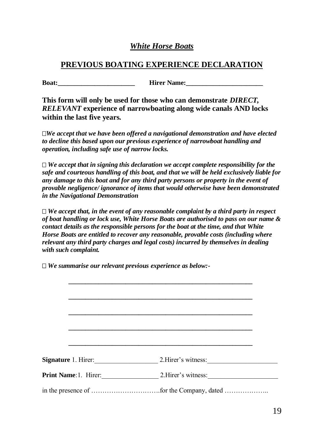#### *White Horse Boats*

## **PREVIOUS BOATING EXPERIENCE DECLARATION**

**Boat: Boat: Hirer Name:** 

**This form will only be used for those who can demonstrate** *DIRECT, RELEVANT* **experience of narrowboating along wide canals AND locks within the last five years.**

*We accept that we have been offered a navigational demonstration and have elected to decline this based upon our previous experience of narrowboat handling and operation, including safe use of narrow locks.*

 $\Box$  We accept that in signing this declaration we accept complete responsibility for the *safe and courteous handling of this boat, and that we will be held exclusively liable for any damage to this boat and for any third party persons or property in the event of provable negligence/ ignorance of items that would otherwise have been demonstrated in the Navigational Demonstration*

 $\Box$  We accept that, in the event of any reasonable complaint by a third party in respect *of boat handling or lock use, White Horse Boats are authorised to pass on our name & contact details as the responsible persons for the boat at the time, and that White Horse Boats are entitled to recover any reasonable, provable costs (including where relevant any third party charges and legal costs) incurred by themselves in dealing with such complaint.*

*We summarise our relevant previous experience as below:-*

| <b>Signature 1. Hirer:</b> | 2. Hirer's witness:                              |
|----------------------------|--------------------------------------------------|
|                            | <b>Print Name: 1.</b> Hirer: 2. Hirer's witness: |
|                            |                                                  |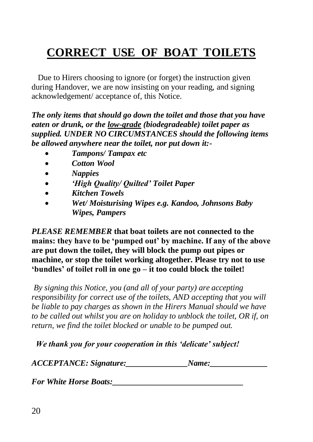# **CORRECT USE OF BOAT TOILETS**

 Due to Hirers choosing to ignore (or forget) the instruction given during Handover, we are now insisting on your reading, and signing acknowledgement/ acceptance of, this Notice.

*The only items that should go down the toilet and those that you have eaten or drunk, or the low-grade (biodegradeable) toilet paper as supplied. UNDER NO CIRCUMSTANCES should the following items be allowed anywhere near the toilet, nor put down it:-*

- *Tampons/ Tampax etc*
- *Cotton Wool*
- *Nappies*
- *'High Quality/ Quilted' Toilet Paper*
- *Kitchen Towels*
- *Wet/ Moisturising Wipes e.g. Kandoo, Johnsons Baby Wipes, Pampers*

*PLEASE REMEMBER* **that boat toilets are not connected to the mains: they have to be 'pumped out' by machine. If any of the above are put down the toilet, they will block the pump out pipes or machine, or stop the toilet working altogether. Please try not to use 'bundles' of toilet roll in one go – it too could block the toilet!**

*By signing this Notice, you (and all of your party) are accepting responsibility for correct use of the toilets, AND accepting that you will be liable to pay charges as shown in the Hirers Manual should we have to be called out whilst you are on holiday to unblock the toilet, OR if, on return, we find the toilet blocked or unable to be pumped out.*

 *We thank you for your cooperation in this 'delicate' subject!*

*ACCEPTANCE: Signature:\_\_\_\_\_\_\_\_\_\_\_\_\_\_\_Name:\_\_\_\_\_\_\_\_\_\_\_\_\_\_*

*For White Horse Boats:\_\_\_\_\_\_\_\_\_\_\_\_\_\_\_\_\_\_\_\_\_\_\_\_\_\_\_\_\_\_\_\_*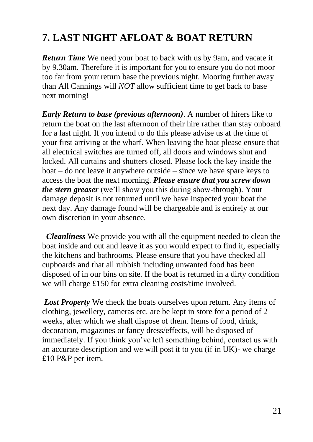# **7. LAST NIGHT AFLOAT & BOAT RETURN**

*Return Time* We need your boat to back with us by 9am, and vacate it by 9.30am. Therefore it is important for you to ensure you do not moor too far from your return base the previous night. Mooring further away than All Cannings will *NOT* allow sufficient time to get back to base next morning!

*Early Return to base (previous afternoon)*. A number of hirers like to return the boat on the last afternoon of their hire rather than stay onboard for a last night. If you intend to do this please advise us at the time of your first arriving at the wharf. When leaving the boat please ensure that all electrical switches are turned off, all doors and windows shut and locked. All curtains and shutters closed. Please lock the key inside the boat – do not leave it anywhere outside – since we have spare keys to access the boat the next morning. *Please ensure that you screw down the stern greaser* (we'll show you this during show-through). Your damage deposit is not returned until we have inspected your boat the next day. Any damage found will be chargeable and is entirely at our own discretion in your absence.

 *Cleanliness* We provide you with all the equipment needed to clean the boat inside and out and leave it as you would expect to find it, especially the kitchens and bathrooms. Please ensure that you have checked all cupboards and that all rubbish including unwanted food has been disposed of in our bins on site. If the boat is returned in a dirty condition we will charge £150 for extra cleaning costs/time involved.

*Lost Property* We check the boats ourselves upon return. Any items of clothing, jewellery, cameras etc. are be kept in store for a period of 2 weeks, after which we shall dispose of them. Items of food, drink, decoration, magazines or fancy dress/effects, will be disposed of immediately. If you think you've left something behind, contact us with an accurate description and we will post it to you (if in UK)- we charge £10 P&P per item.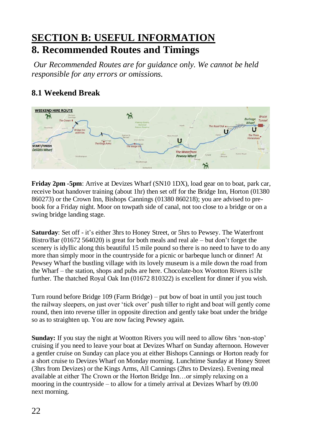## **SECTION B: USEFUL INFORMATION 8. Recommended Routes and Timings**

*Our Recommended Routes are for guidance only. We cannot be held responsible for any errors or omissions.* 

## **8.1 Weekend Break**



**Friday 2pm -5pm**: Arrive at Devizes Wharf (SN10 1DX), load gear on to boat, park car, receive boat handover training (about 1hr) then set off for the Bridge Inn, Horton (01380 860273) or the Crown Inn, Bishops Cannings (01380 860218); you are advised to prebook for a Friday night. Moor on towpath side of canal, not too close to a bridge or on a swing bridge landing stage.

**Saturday**: Set off - it's either 3hrs to Honey Street, or 5hrs to Pewsey. The Waterfront Bistro/Bar (01672 564020) is great for both meals and real ale – but don't forget the scenery is idyllic along this beautiful 15 mile pound so there is no need to have to do any more than simply moor in the countryside for a picnic or barbeque lunch or dinner! At Pewsey Wharf the bustling village with its lovely museum is a mile down the road from the Wharf – the station, shops and pubs are here. Chocolate-box Wootton Rivers is1hr further. The thatched Royal Oak Inn (01672 810322) is excellent for dinner if you wish.

Turn round before Bridge 109 (Farm Bridge) – put bow of boat in until you just touch the railway sleepers, on just over 'tick over' push tiller to right and boat will gently come round, then into reverse tiller in opposite direction and gently take boat under the bridge so as to straighten up. You are now facing Pewsey again.

**Sunday:** If you stay the night at Wootton Rivers you will need to allow 6hrs 'non-stop' cruising if you need to leave your boat at Devizes Wharf on Sunday afternoon. However a gentler cruise on Sunday can place you at either Bishops Cannings or Horton ready for a short cruise to Devizes Wharf on Monday morning. Lunchtime Sunday at Honey Street (3hrs from Devizes) or the Kings Arms, All Cannings (2hrs to Devizes). Evening meal available at either The Crown or the Horton Bridge Inn…or simply relaxing on a mooring in the countryside – to allow for a timely arrival at Devizes Wharf by 09.00 next morning.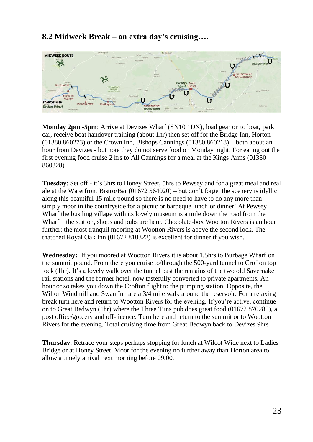#### **8.2 Midweek Break – an extra day's cruising….**



**Monday 2pm -5pm**: Arrive at Devizes Wharf (SN10 1DX), load gear on to boat, park car, receive boat handover training (about 1hr) then set off for the Bridge Inn, Horton (01380 860273) or the Crown Inn, Bishops Cannings (01380 860218) – both about an hour from Devizes - but note they do not serve food on Monday night. For eating out the first evening food cruise 2 hrs to All Cannings for a meal at the Kings Arms (01380 860328)

**Tuesday**: Set off - it's 3hrs to Honey Street, 5hrs to Pewsey and for a great meal and real ale at the Waterfront Bistro/Bar (01672 564020) – but don't forget the scenery is idyllic along this beautiful 15 mile pound so there is no need to have to do any more than simply moor in the countryside for a picnic or barbeque lunch or dinner! At Pewsey Wharf the bustling village with its lovely museum is a mile down the road from the Wharf – the station, shops and pubs are here. Chocolate-box Wootton Rivers is an hour further: the most tranquil mooring at Wootton Rivers is above the second lock. The thatched Royal Oak Inn (01672 810322) is excellent for dinner if you wish.

**Wednesday:** If you moored at Wootton Rivers it is about 1.5hrs to Burbage Wharf on the summit pound. From there you cruise to/through the 500-yard tunnel to Crofton top lock (1hr). It's a lovely walk over the tunnel past the remains of the two old Savernake rail stations and the former hotel, now tastefully converted to private apartments. An hour or so takes you down the Crofton flight to the pumping station. Opposite, the Wilton Windmill and Swan Inn are a 3/4 mile walk around the reservoir. For a relaxing break turn here and return to Wootton Rivers for the evening. If you're active, continue on to Great Bedwyn (1hr) where the Three Tuns pub does great food (01672 870280), a post office/grocery and off-licence. Turn here and return to the summit or to Wootton Rivers for the evening. Total cruising time from Great Bedwyn back to Devizes 9hrs

**Thursday**: Retrace your steps perhaps stopping for lunch at Wilcot Wide next to Ladies Bridge or at Honey Street. Moor for the evening no further away than Horton area to allow a timely arrival next morning before 09.00.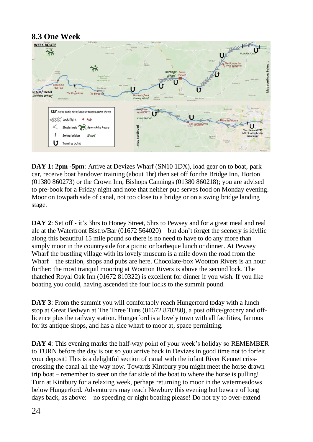

**DAY 1: 2pm -5pm**: Arrive at Devizes Wharf (SN10 1DX), load gear on to boat, park car, receive boat handover training (about 1hr) then set off for the Bridge Inn, Horton (01380 860273) or the Crown Inn, Bishops Cannings (01380 860218); you are advised to pre-book for a Friday night and note that neither pub serves food on Monday evening. Moor on towpath side of canal, not too close to a bridge or on a swing bridge landing stage.

**DAY 2**: Set off - it's 3hrs to Honey Street, 5hrs to Pewsey and for a great meal and real ale at the Waterfront Bistro/Bar (01672 564020) – but don't forget the scenery is idyllic along this beautiful 15 mile pound so there is no need to have to do any more than simply moor in the countryside for a picnic or barbeque lunch or dinner. At Pewsey Wharf the bustling village with its lovely museum is a mile down the road from the Wharf – the station, shops and pubs are here. Chocolate-box Wootton Rivers is an hour further: the most tranquil mooring at Wootton Rivers is above the second lock. The thatched Royal Oak Inn (01672 810322) is excellent for dinner if you wish. If you like boating you could, having ascended the four locks to the summit pound.

**DAY 3**: From the summit you will comfortably reach Hungerford today with a lunch stop at Great Bedwyn at The Three Tuns (01672 870280), a post office/grocery and offlicence plus the railway station. Hungerford is a lovely town with all facilities, famous for its antique shops, and has a nice wharf to moor at, space permitting.

**DAY 4**: This evening marks the half-way point of your week's holiday so REMEMBER to TURN before the day is out so you arrive back in Devizes in good time not to forfeit your deposit! This is a delightful section of canal with the infant River Kennet crisscrossing the canal all the way now. Towards Kintbury you might meet the horse drawn trip boat – remember to steer on the far side of the boat to where the horse is pulling! Turn at Kintbury for a relaxing week, perhaps returning to moor in the watermeadows below Hungerford. Adventurers may reach Newbury this evening but beware of long days back, as above: – no speeding or night boating please! Do not try to over-extend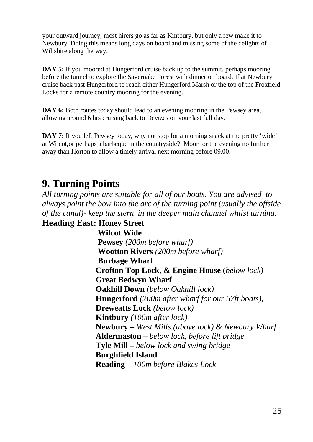your outward journey; most hirers go as far as Kintbury, but only a few make it to Newbury. Doing this means long days on board and missing some of the delights of Wiltshire along the way.

**DAY 5:** If you moored at Hungerford cruise back up to the summit, perhaps mooring before the tunnel to explore the Savernake Forest with dinner on board. If at Newbury, cruise back past Hungerford to reach either Hungerford Marsh or the top of the Froxfield Locks for a remote country mooring for the evening.

**DAY 6:** Both routes today should lead to an evening mooring in the Pewsey area, allowing around 6 hrs cruising back to Devizes on your last full day.

**DAY 7:** If you left Pewsey today, why not stop for a morning snack at the pretty 'wide' at Wilcot,or perhaps a barbeque in the countryside? Moor for the evening no further away than Horton to allow a timely arrival next morning before 09.00.

## **9. Turning Points**

*All turning points are suitable for all of our boats. You are advised to always point the bow into the arc of the turning point (usually the offside of the canal)- keep the stern in the deeper main channel whilst turning.* **Heading East: Honey Street**

 **Wilcot Wide Pewsey** *(200m before wharf)* **Wootton Rivers** *(200m before wharf)* **Burbage Wharf Crofton Top Lock, & Engine House (***below lock)* **Great Bedwyn Wharf Oakhill Down** (*below Oakhill lock)* **Hungerford** *(200m after wharf for our 57ft boats),* **Dreweatts Lock** *(below lock)* **Kintbury** *(100m after lock)* **Newbury –** *West Mills (above lock) & Newbury Wharf* **Aldermaston –** *below lock, before lift bridge* **Tyle Mill –** *below lock and swing bridge* **Burghfield Island Reading –** *100m before Blakes Lock*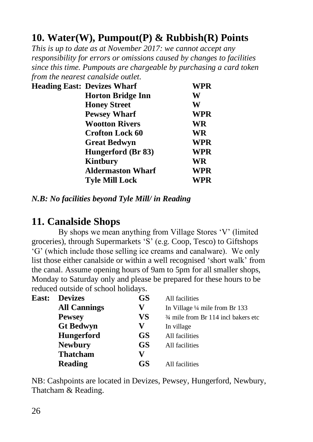# **10. Water(W), Pumpout(P) & Rubbish(R) Points**

*This is up to date as at November 2017: we cannot accept any responsibility for errors or omissions caused by changes to facilities since this time. Pumpouts are chargeable by purchasing a card token from the nearest canalside outlet.*

| <b>Heading East: Devizes Wharf</b> | WPR        |
|------------------------------------|------------|
| <b>Horton Bridge Inn</b>           | W          |
| <b>Honey Street</b>                | W          |
| <b>Pewsey Wharf</b>                | <b>WPR</b> |
| <b>Wootton Rivers</b>              | WR         |
| <b>Crofton Lock 60</b>             | <b>WR</b>  |
| <b>Great Bedwyn</b>                | WPR        |
| Hungerford (Br 83)                 | WPR        |
| Kintbury                           | WR         |
| <b>Aldermaston Wharf</b>           | WPR        |
| <b>Tyle Mill Lock</b>              | WPR        |

*N.B: No facilities beyond Tyle Mill/ in Reading*

## **11. Canalside Shops**

 By shops we mean anything from Village Stores 'V' (limited groceries), through Supermarkets 'S' (e.g. Coop, Tesco) to Giftshops 'G' (which include those selling ice creams and canalware). We only list those either canalside or within a well recognised 'short walk' from the canal. Assume opening hours of 9am to 5pm for all smaller shops, Monday to Saturday only and please be prepared for these hours to be reduced outside of school holidays.

| <b>Devizes</b>      | <b>GS</b> | All facilities                                 |
|---------------------|-----------|------------------------------------------------|
| <b>All Cannings</b> | V         | In Village 1/4 mile from Br 133                |
| <b>Pewsey</b>       | VS        | $\frac{3}{4}$ mile from Br 114 incl bakers etc |
| <b>Gt Bedwyn</b>    | V         | In village                                     |
| <b>Hungerford</b>   | <b>GS</b> | All facilities                                 |
| <b>Newbury</b>      | <b>GS</b> | All facilities                                 |
| <b>Thatcham</b>     | V         |                                                |
| <b>Reading</b>      | <b>GS</b> | All facilities                                 |
|                     |           |                                                |

NB: Cashpoints are located in Devizes, Pewsey, Hungerford, Newbury, Thatcham & Reading.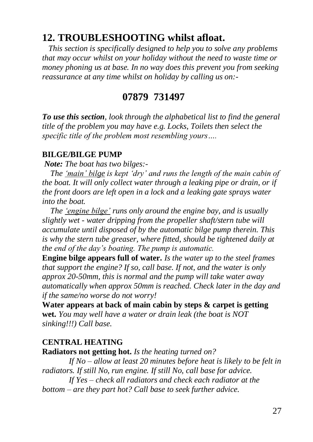## **12. TROUBLESHOOTING whilst afloat.**

 *This section is specifically designed to help you to solve any problems that may occur whilst on your holiday without the need to waste time or money phoning us at base. In no way does this prevent you from seeking reassurance at any time whilst on holiday by calling us on:-*

## **07879 731497**

*To use this section, look through the alphabetical list to find the general title of the problem you may have e.g. Locks, Toilets then select the specific title of the problem most resembling yours….*

#### **BILGE/BILGE PUMP**

*Note: The boat has two bilges:-*

 *The 'main' bilge is kept 'dry' and runs the length of the main cabin of the boat. It will only collect water through a leaking pipe or drain, or if the front doors are left open in a lock and a leaking gate sprays water into the boat.* 

 *The 'engine bilge' runs only around the engine bay, and is usually slightly wet - water dripping from the propeller shaft/stern tube will accumulate until disposed of by the automatic bilge pump therein. This is why the stern tube greaser, where fitted, should be tightened daily at the end of the day's boating. The pump is automatic.*

**Engine bilge appears full of water.** *Is the water up to the steel frames that support the engine? If so, call base. If not, and the water is only approx 20-50mm, this is normal and the pump will take water away automatically when approx 50mm is reached. Check later in the day and if the same/no worse do not worry!*

**Water appears at back of main cabin by steps & carpet is getting wet.** *You may well have a water or drain leak (the boat is NOT sinking!!!) Call base.*

#### **CENTRAL HEATING**

**Radiators not getting hot.** *Is the heating turned on?*

*If No – allow at least 20 minutes before heat is likely to be felt in radiators. If still No, run engine. If still No, call base for advice.*

*If Yes – check all radiators and check each radiator at the bottom – are they part hot? Call base to seek further advice.*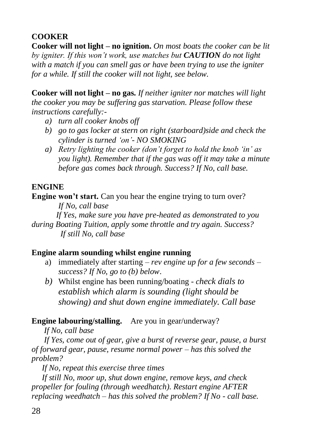## **COOKER**

**Cooker will not light – no ignition.** *On most boats the cooker can be lit by igniter. If this won't work, use matches but CAUTION do not light with a match if you can smell gas or have been trying to use the igniter for a while. If still the cooker will not light, see below.*

**Cooker will not light – no gas.** *If neither igniter nor matches will light the cooker you may be suffering gas starvation. Please follow these instructions carefully:-*

- *a) turn all cooker knobs off*
- *b) go to gas locker at stern on right (starboard)side and check the cylinder is turned 'on'- NO SMOKING*
- *a) Retry lighting the cooker (don't forget to hold the knob 'in' as you light). Remember that if the gas was off it may take a minute before gas comes back through. Success? If No, call base.*

## **ENGINE**

**Engine won't start.** Can you hear the engine trying to turn over? *If No, call base*

 *If Yes, make sure you have pre-heated as demonstrated to you during Boating Tuition, apply some throttle and try again. Success? If still No, call base*

## **Engine alarm sounding whilst engine running**

- a) immediately after starting *rev engine up for a few seconds – success? If No, go to (b) below*.
- *b)* Whilst engine has been running/boating *check dials to establish which alarm is sounding (light should be showing) and shut down engine immediately. Call base*

**Engine labouring/stalling.** Are you in gear/underway?

 *If No, call base*

 *If Yes, come out of gear, give a burst of reverse gear, pause, a burst of forward gear, pause, resume normal power – has this solved the problem?*

 *If No, repeat this exercise three times*

 *If still No, moor up, shut down engine, remove keys, and check propeller for fouling (through weedhatch). Restart engine AFTER replacing weedhatch – has this solved the problem? If No - call base.*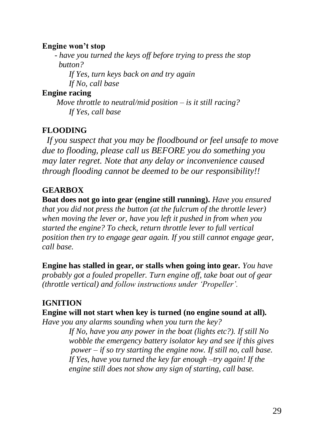## **Engine won't stop**

 *- have you turned the keys off before trying to press the stop button?*

*If Yes, turn keys back on and try again If No, call base*

## **Engine racing**

 *Move throttle to neutral/mid position – is it still racing? If Yes, call base*

## **FLOODING**

 *If you suspect that you may be floodbound or feel unsafe to move due to flooding, please call us BEFORE you do something you may later regret. Note that any delay or inconvenience caused through flooding cannot be deemed to be our responsibility!!*

## **GEARBOX**

**Boat does not go into gear (engine still running).** *Have you ensured that you did not press the button (at the fulcrum of the throttle lever) when moving the lever or, have you left it pushed in from when you started the engine? To check, return throttle lever to full vertical position then try to engage gear again. If you still cannot engage gear, call base.*

**Engine has stalled in gear, or stalls when going into gear.** *You have probably got a fouled propeller. Turn engine off, take boat out of gear (throttle vertical) and follow instructions under 'Propeller'.*

## **IGNITION**

## **Engine will not start when key is turned (no engine sound at all).**

*Have you any alarms sounding when you turn the key?*

*If No, have you any power in the boat (lights etc?). If still No wobble the emergency battery isolator key and see if this gives power – if so try starting the engine now. If still no, call base. If Yes, have you turned the key far enough –try again! If the engine still does not show any sign of starting, call base.*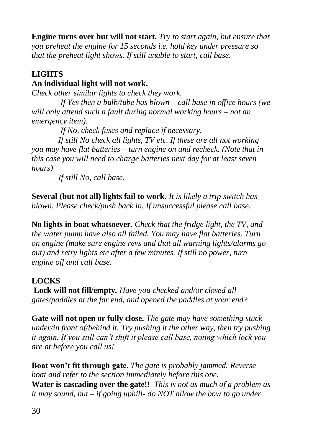**Engine turns over but will not start.** *Try to start again, but ensure that you preheat the engine for 15 seconds i.e. hold key under pressure so that the preheat light shows. If still unable to start, call base.*

## **LIGHTS**

## **An individual light will not work.**

*Check other similar lights to check they work.*

*If Yes then a bulb/tube has blown – call base in office hours (we will only attend such a fault during normal working hours – not an emergency item).*

*If No, check fuses and replace if necessary.*

*If still No check all lights, TV etc. If these are all not working you may have flat batteries – turn engine on and recheck. (Note that in this case you will need to charge batteries next day for at least seven hours)*

*If still No, call base.*

**Several (but not all) lights fail to work.** *It is likely a trip switch has blown. Please check/push back in. If unsuccessful please call base.*

**No lights in boat whatsoever.** *Check that the fridge light, the TV, and the water pump have also all failed. You may have flat batteries. Turn on engine (make sure engine revs and that all warning lights/alarms go out) and retry lights etc after a few minutes. If still no power, turn engine off and call base.*

## **LOCKS**

**Lock will not fill/empty***. Have you checked and/or closed all gates/paddles at the far end, and opened the paddles at your end?*

**Gate will not open or fully close.** *The gate may have something stuck under/in front of/behind it. Try pushing it the other way, then try pushing it again. If you still can't shift it please call base, noting which lock you are at before you call us!*

**Boat won't fit through gate.** *The gate is probably jammed. Reverse boat and refer to the section immediately before this one.* **Water is cascading over the gate!!** *This is not as much of a problem as it may sound, but – if going uphill- do NOT allow the bow to go under*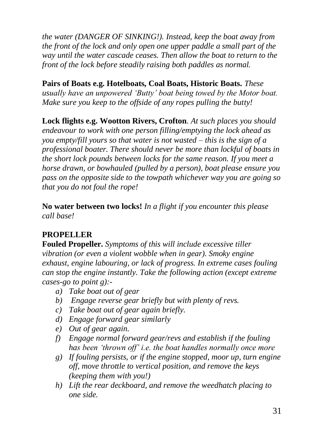*the water (DANGER OF SINKING!). Instead, keep the boat away from the front of the lock and only open one upper paddle a small part of the way until the water cascade ceases. Then allow the boat to return to the front of the lock before steadily raising both paddles as normal.*

**Pairs of Boats e.g. Hotelboats, Coal Boats, Historic Boats.** *These usually have an unpowered 'Butty' boat being towed by the Motor boat. Make sure you keep to the offside of any ropes pulling the butty!*

**Lock flights e.g. Wootton Rivers, Crofton***. At such places you should endeavour to work with one person filling/emptying the lock ahead as you empty/fill yours so that water is not wasted – this is the sign of a professional boater. There should never be more than lockful of boats in the short lock pounds between locks for the same reason. If you meet a horse drawn, or bowhauled (pulled by a person), boat please ensure you pass on the opposite side to the towpath whichever way you are going so that you do not foul the rope!*

**No water between two locks!** *In a flight if you encounter this please call base!*

## **PROPELLER**

**Fouled Propeller.** *Symptoms of this will include excessive tiller vibration (or even a violent wobble when in gear). Smoky engine exhaust, engine labouring, or lack of progress. In extreme cases fouling can stop the engine instantly. Take the following action (except extreme cases-go to point g):-*

- *a) Take boat out of gear*
- *b) Engage reverse gear briefly but with plenty of revs.*
- *c) Take boat out of gear again briefly.*
- *d) Engage forward gear similarly*
- *e) Out of gear again.*
- *f) Engage normal forward gear/revs and establish if the fouling has been 'thrown off' i.e. the boat handles normally once more*
- *g) If fouling persists, or if the engine stopped, moor up, turn engine off, move throttle to vertical position, and remove the keys (keeping them with you!)*
- *h) Lift the rear deckboard, and remove the weedhatch placing to one side.*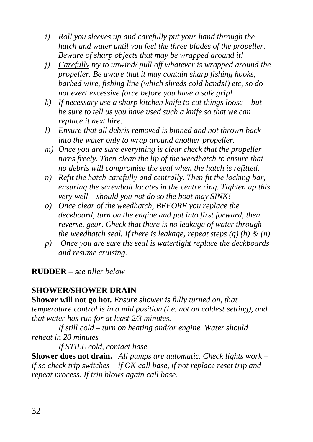- *i) Roll you sleeves up and carefully put your hand through the hatch and water until you feel the three blades of the propeller. Beware of sharp objects that may be wrapped around it!*
- *j) Carefully try to unwind/ pull off whatever is wrapped around the propeller. Be aware that it may contain sharp fishing hooks, barbed wire, fishing line (which shreds cold hands!) etc, so do not exert excessive force before you have a safe grip!*
- *k) If necessary use a sharp kitchen knife to cut things loose – but be sure to tell us you have used such a knife so that we can replace it next hire.*
- *l) Ensure that all debris removed is binned and not thrown back into the water only to wrap around another propeller.*
- *m) Once you are sure everything is clear check that the propeller turns freely. Then clean the lip of the weedhatch to ensure that no debris will compromise the seal when the hatch is refitted.*
- *n) Refit the hatch carefully and centrally. Then fit the locking bar, ensuring the screwbolt locates in the centre ring. Tighten up this very well – should you not do so the boat may SINK!*
- *o) Once clear of the weedhatch, BEFORE you replace the deckboard, turn on the engine and put into first forward, then reverse, gear. Check that there is no leakage of water through the weedhatch seal. If there is leakage, repeat steps (g) (h) & (n)*
- *p) Once you are sure the seal is watertight replace the deckboards and resume cruising.*

**RUDDER –** *see tiller below*

## **SHOWER/SHOWER DRAIN**

**Shower will not go hot.** *Ensure shower is fully turned on, that temperature control is in a mid position (i.e. not on coldest setting), and that water has run for at least 2/3 minutes.* 

*If still cold – turn on heating and/or engine. Water should reheat in 20 minutes*

*If STILL cold, contact base.*

**Shower does not drain.** *All pumps are automatic. Check lights work – if so check trip switches – if OK call base, if not replace reset trip and repeat process. If trip blows again call base.*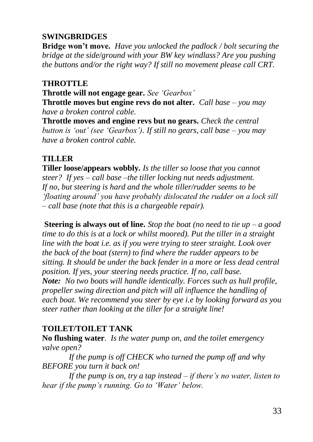## **SWINGBRIDGES**

**Bridge won't move.** *Have you unlocked the padlock / bolt securing the bridge at the side/ground with your BW key windlass? Are you pushing the buttons and/or the right way? If still no movement please call CRT.*

#### **THROTTLE**

**Throttle will not engage gear.** *See 'Gearbox'*

**Throttle moves but engine revs do not alter.** *Call base – you may have a broken control cable.*

**Throttle moves and engine revs but no gears.** *Check the central button is 'out' (see 'Gearbox'). If still no gears, call base – you may have a broken control cable.*

## **TILLER**

**Tiller loose/appears wobbly.** *Is the tiller so loose that you cannot steer? If yes – call base –the tiller locking nut needs adjustment. If no, but steering is hard and the whole tiller/rudder seems to be 'floating around' you have probably dislocated the rudder on a lock sill – call base (note that this is a chargeable repair).*

**Steering is always out of line.** *Stop the boat (no need to tie up – a good time to do this is at a lock or whilst moored). Put the tiller in a straight line with the boat i.e. as if you were trying to steer straight. Look over the back of the boat (stern) to find where the rudder appears to be sitting. It should be under the back fender in a more or less dead central position. If yes, your steering needs practice. If no, call base. Note: No two boats will handle identically. Forces such as hull profile, propeller swing direction and pitch will all influence the handling of each boat. We recommend you steer by eye i.e by looking forward as you steer rather than looking at the tiller for a straight line!*

## **TOILET/TOILET TANK**

**No flushing water**. *Is the water pump on, and the toilet emergency valve open?* 

*If the pump is off CHECK who turned the pump off and why BEFORE you turn it back on!*

*If the pump is on, try a tap instead – if there's no water, listen to hear if the pump's running. Go to 'Water' below.*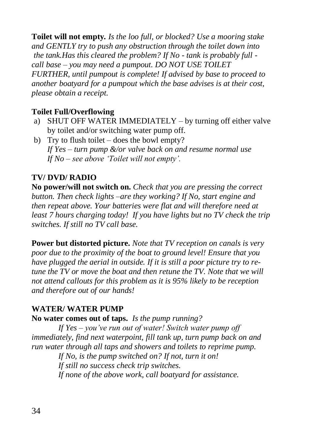**Toilet will not empty***. Is the loo full, or blocked? Use a mooring stake and GENTLY try to push any obstruction through the toilet down into the tank.Has this cleared the problem? If No - tank is probably full call base – you may need a pumpout. DO NOT USE TOILET FURTHER, until pumpout is complete! If advised by base to proceed to another boatyard for a pumpout which the base advises is at their cost, please obtain a receipt.*

## **Toilet Full/Overflowing**

- a) SHUT OFF WATER IMMEDIATELY by turning off either valve by toilet and/or switching water pump off.
- b) Try to flush toilet does the bowl empty? *If Yes – turn pump &/or valve back on and resume normal use If No – see above 'Toilet will not empty'.*

#### **TV/ DVD/ RADIO**

**No power/will not switch on.** *Check that you are pressing the correct button. Then check lights –are they working? If No, start engine and then repeat above. Your batteries were flat and will therefore need at least 7 hours charging today! If you have lights but no TV check the trip switches. If still no TV call base.*

**Power but distorted picture.** *Note that TV reception on canals is very poor due to the proximity of the boat to ground level! Ensure that you have plugged the aerial in outside. If it is still a poor picture try to retune the TV or move the boat and then retune the TV. Note that we will not attend callouts for this problem as it is 95% likely to be reception and therefore out of our hands!*

#### **WATER/ WATER PUMP**

#### **No water comes out of taps.** *Is the pump running?*

*If Yes – you've run out of water! Switch water pump off immediately, find next waterpoint, fill tank up, turn pump back on and run water through all taps and showers and toilets to reprime pump.*

*If No, is the pump switched on? If not, turn it on! If still no success check trip switches. If none of the above work, call boatyard for assistance.*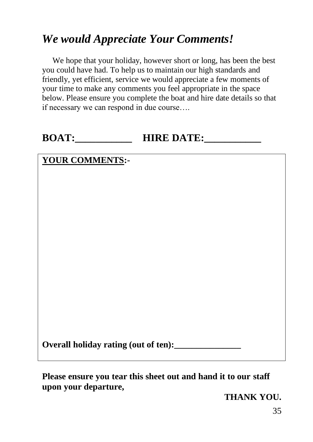# *We would Appreciate Your Comments!*

We hope that your holiday, however short or long, has been the best you could have had. To help us to maintain our high standards and friendly, yet efficient, service we would appreciate a few moments of your time to make any comments you feel appropriate in the space below. Please ensure you complete the boat and hire date details so that if necessary we can respond in due course….

## **BOAT:** HIRE DATE:

## **YOUR COMMENTS:-**

**Overall holiday rating (out of ten):** 

**Please ensure you tear this sheet out and hand it to our staff upon your departure,**

**THANK YOU.**